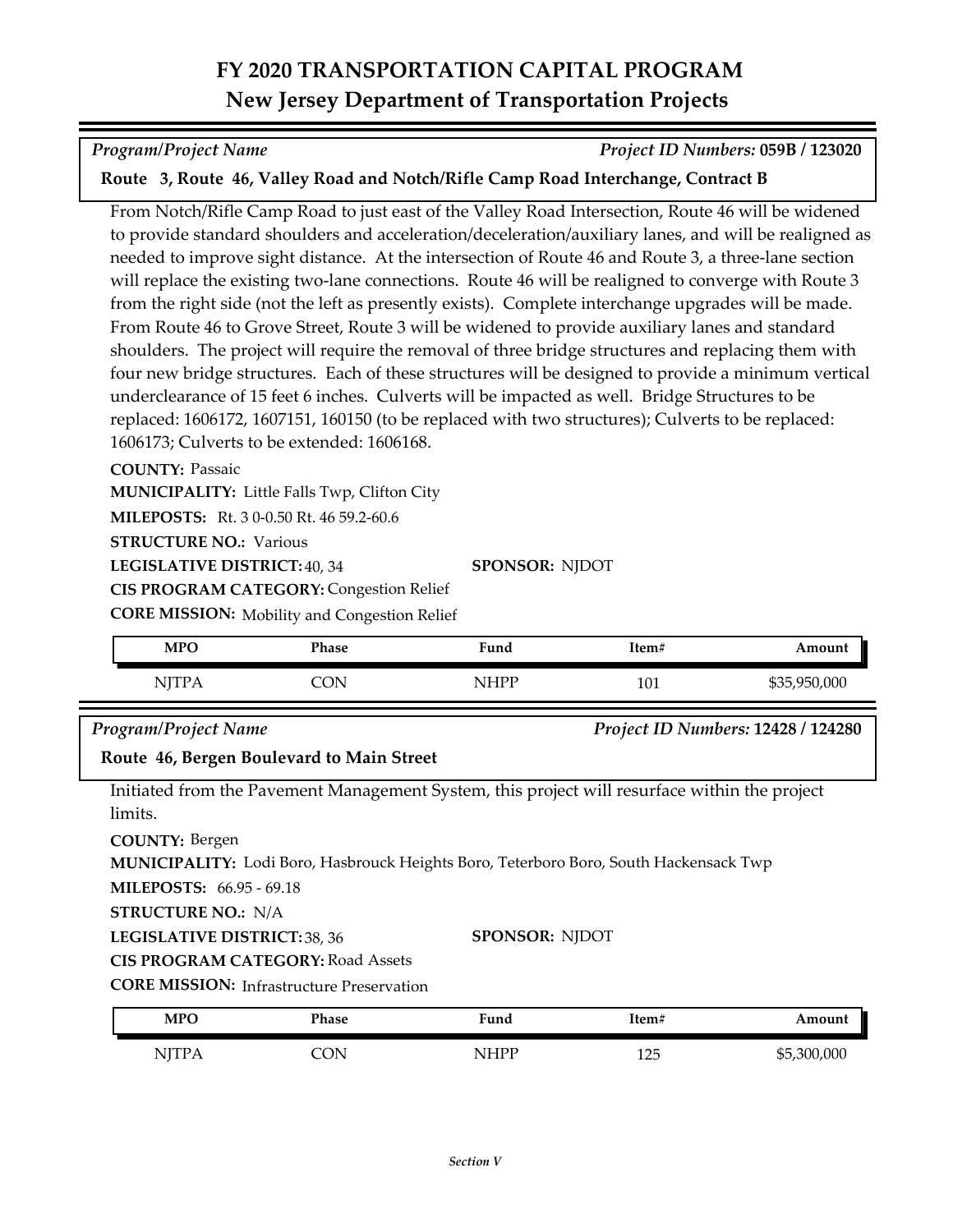# **FY 2020 TRANSPORTATION CAPITAL PROGRAM New Jersey Department of Transportation Projects**

*Program/Project Name Project ID Numbers:* **059B / 123020**

## **Route 3, Route 46, Valley Road and Notch/Rifle Camp Road Interchange, Contract B**

From Notch/Rifle Camp Road to just east of the Valley Road Intersection, Route 46 will be widened to provide standard shoulders and acceleration/deceleration/auxiliary lanes, and will be realigned as needed to improve sight distance. At the intersection of Route 46 and Route 3, a three-lane section will replace the existing two-lane connections. Route 46 will be realigned to converge with Route 3 from the right side (not the left as presently exists). Complete interchange upgrades will be made. From Route 46 to Grove Street, Route 3 will be widened to provide auxiliary lanes and standard shoulders. The project will require the removal of three bridge structures and replacing them with four new bridge structures. Each of these structures will be designed to provide a minimum vertical underclearance of 15 feet 6 inches. Culverts will be impacted as well. Bridge Structures to be replaced: 1606172, 1607151, 160150 (to be replaced with two structures); Culverts to be replaced: 1606173; Culverts to be extended: 1606168.

### **COUNTY:** Passaic

**MUNICIPALITY:** Little Falls Twp, Clifton City

**MILEPOSTS:** Rt. 3 0-0.50 Rt. 46 59.2-60.6

**STRUCTURE NO.: Various** 

**LEGISLATIVE DISTRICT:** 40, 34

**CIS PROGRAM CATEGORY:** Congestion Relief

**CORE MISSION:** Mobility and Congestion Relief

| MPO          | Phase | Fund | Item# | Amount       |
|--------------|-------|------|-------|--------------|
| <b>TT 17</b> | `ON   | NHPP | 101   | \$35,950,000 |

**SPONSOR:** NJDOT

### *Program/Project Name Project ID Numbers:* **12428 / 124280**

**Route 46, Bergen Boulevard to Main Street**

Initiated from the Pavement Management System, this project will resurface within the project limits.

**COUNTY:** Bergen

**MUNICIPALITY:** Lodi Boro, Hasbrouck Heights Boro, Teterboro Boro, South Hackensack Twp

**MILEPOSTS:** 66.95 - 69.18

**STRUCTURE NO.:** N/A

**LEGISLATIVE DISTRICT:** 38, 36

#### **SPONSOR:** NJDOT

**CIS PROGRAM CATEGORY:** Road Assets

**CORE MISSION:** Infrastructure Preservation

| <b>MPO</b>  | Phase | Fund  | Item# | ⊾mount      |
|-------------|-------|-------|-------|-------------|
| NJTP/       | OΝ    | NIHPP | 1つに   | \$5,300,000 |
| <b>TTTT</b> | ັ້    | 11 T  | ⊥∠∪   |             |